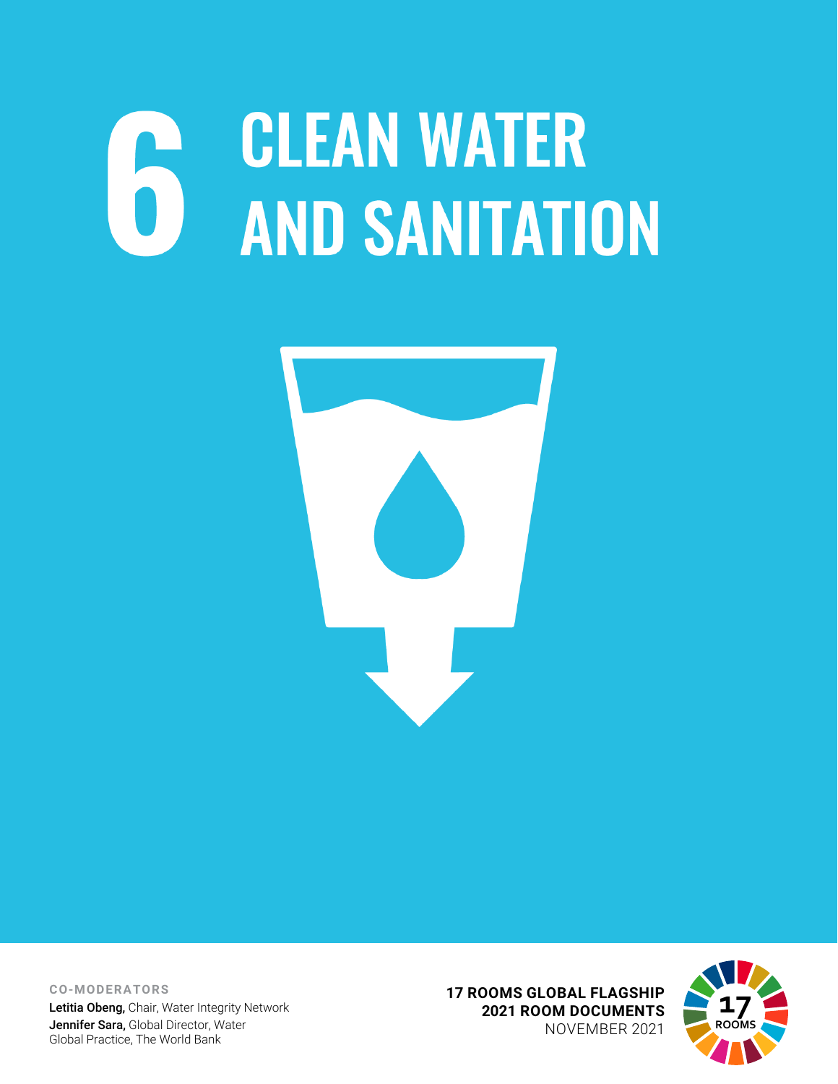## **CLEAN WATER AND SANITATION**



**CO-MODERATORS** Letitia Obeng, Chair, Water Integrity Network Jennifer Sara, Global Director, Water Global Practice, The World Bank

**17 ROOMS GLOBAL FLAGSHIP 2021 ROOM DOCUMENTS** NOVEMBER 2021

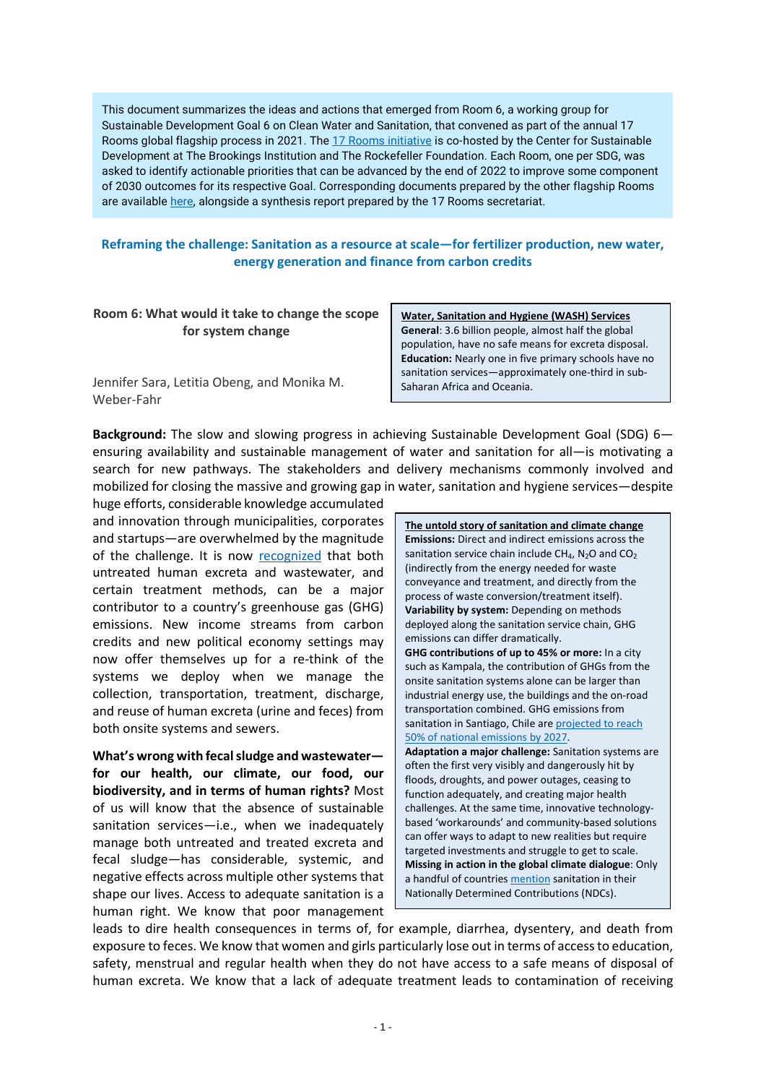This document summarizes the ideas and actions that emerged from Room 6, a working group for Sustainable Development Goal 6 on Clean Water and Sanitation, that convened as part of the annual 17 Rooms global flagship process in 2021. Th[e 17 Rooms initiative](https://www.brookings.edu/project/17-rooms/) is co-hosted by the Center for Sustainable Development at The Brookings Institution and The Rockefeller Foundation. Each Room, one per SDG, was asked to identify actionable priorities that can be advanced by the end of 2022 to improve some component of 2030 outcomes for its respective Goal. Corresponding documents prepared by the other flagship Rooms are availabl[e here,](http://www.brookings.edu/17rooms2021) alongside a synthesis report prepared by the 17 Rooms secretariat.

## **Reframing the challenge: Sanitation as a resource at scale—for fertilizer production, new water, energy generation and finance from carbon credits**

**Room 6: What would it take to change the scope for system change**

Jennifer Sara, Letitia Obeng, and Monika M. Weber-Fahr

**Water, Sanitation and Hygiene (WASH) Services General**: 3.6 billion people, almost half the global population, have no safe means for excreta disposal. **Education:** Nearly one in five primary schools have no sanitation services—approximately one-third in sub-Saharan Africa and Oceania.

**Background:** The slow and slowing progress in achieving Sustainable Development Goal (SDG) 6 ensuring availability and sustainable management of water and sanitation for all—is motivating a search for new pathways. The stakeholders and delivery mechanisms commonly involved and mobilized for closing the massive and growing gap in water, sanitation and hygiene services—despite

huge efforts, considerable knowledge accumulated and innovation through municipalities, corporates and startups—are overwhelmed by the magnitude of the challenge. It is now [recognized](https://www.nature.com/articles/s41545-020-0072-8) that both untreated human excreta and wastewater, and certain treatment methods, can be a major contributor to a country's greenhouse gas (GHG) emissions. New income streams from carbon credits and new political economy settings may now offer themselves up for a re-think of the systems we deploy when we manage the collection, transportation, treatment, discharge, and reuse of human excreta (urine and feces) from both onsite systems and sewers.

**What's wrong with fecal sludge and wastewater for our health, our climate, our food, our biodiversity, and in terms of human rights?** Most of us will know that the absence of sustainable sanitation services—i.e., when we inadequately manage both untreated and treated excreta and fecal sludge—has considerable, systemic, and negative effects across multiple other systems that shape our lives. Access to adequate sanitation is a human right. We know that poor management **The untold story of sanitation and climate change Emissions:** Direct and indirect emissions across the sanitation service chain include  $CH_4$ , N<sub>2</sub>O and CO<sub>2</sub> (indirectly from the energy needed for waste conveyance and treatment, and directly from the process of waste conversion/treatment itself). **Variability by system:** Depending on methods deployed along the sanitation service chain, GHG emissions can differ dramatically. **GHG contributions of up to 45% or more:** In a city such as Kampala, the contribution of GHGs from the onsite sanitation systems alone can be larger than industrial energy use, the buildings and the on-road transportation combined. GHG emissions from sanitation in Santiago, Chile ar[e projected to reach](https://pubmed.ncbi.nlm.nih.gov/17548144/)  [50% of national emissions by 2027.](https://pubmed.ncbi.nlm.nih.gov/17548144/) **Adaptation a major challenge:** Sanitation systems are often the first very visibly and dangerously hit by floods, droughts, and power outages, ceasing to function adequately, and creating major health challenges. At the same time, innovative technologybased 'workarounds' and community-based solutions can offer ways to adapt to new realities but require targeted investments and struggle to get to scale. **Missing in action in the global climate dialogue**: Only a handful of countries [mention](https://www.nature.com/articles/s41545-020-0072-8) sanitation in their Nationally Determined Contributions (NDCs).

leads to dire health consequences in terms of, for example, diarrhea, dysentery, and death from exposure to feces. We know that women and girls particularly lose out in terms of access to education, safety, menstrual and regular health when they do not have access to a safe means of disposal of human excreta. We know that a lack of adequate treatment leads to contamination of receiving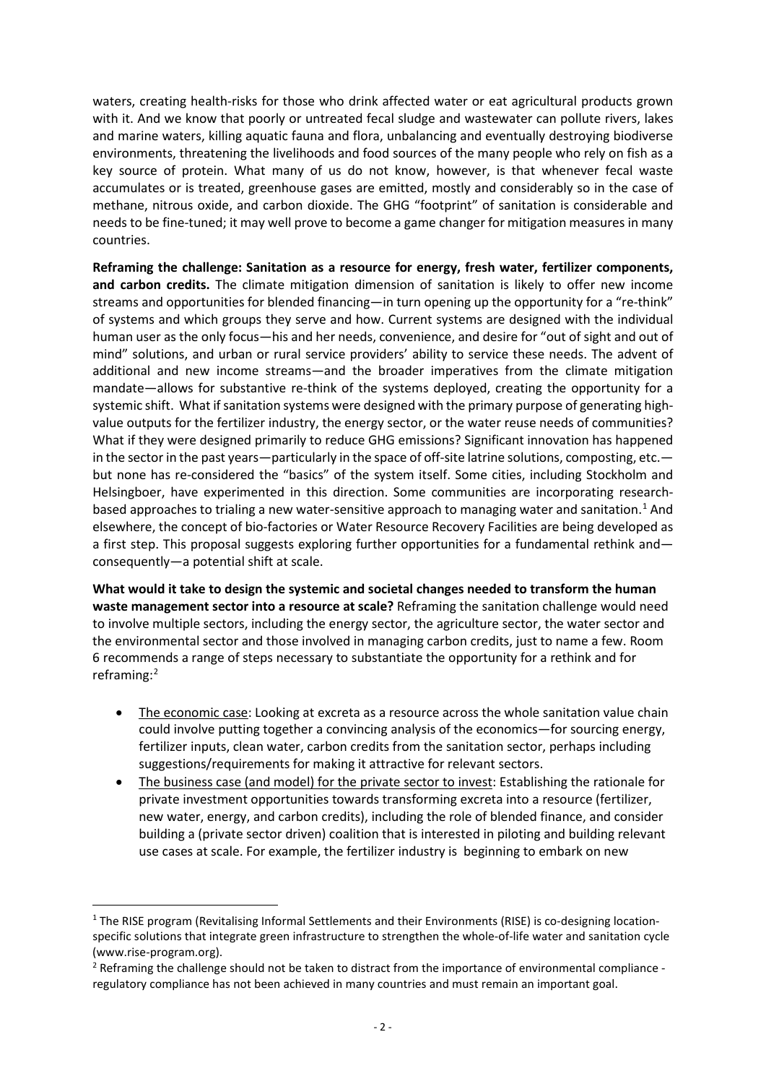waters, creating health-risks for those who drink affected water or eat agricultural products grown with it. And we know that poorly or untreated fecal sludge and wastewater can pollute rivers, lakes and marine waters, killing aquatic fauna and flora, unbalancing and eventually destroying biodiverse environments, threatening the livelihoods and food sources of the many people who rely on fish as a key source of protein. What many of us do not know, however, is that whenever fecal waste accumulates or is treated, greenhouse gases are emitted, mostly and considerably so in the case of methane, nitrous oxide, and carbon dioxide. The GHG "footprint" of sanitation is considerable and needs to be fine-tuned; it may well prove to become a game changer for mitigation measures in many countries.

**Reframing the challenge: Sanitation as a resource for energy, fresh water, fertilizer components, and carbon credits.** The climate mitigation dimension of sanitation is likely to offer new income streams and opportunities for blended financing—in turn opening up the opportunity for a "re-think" of systems and which groups they serve and how. Current systems are designed with the individual human user as the only focus—his and her needs, convenience, and desire for "out of sight and out of mind" solutions, and urban or rural service providers' ability to service these needs. The advent of additional and new income streams—and the broader imperatives from the climate mitigation mandate—allows for substantive re-think of the systems deployed, creating the opportunity for a systemic shift. What if sanitation systems were designed with the primary purpose of generating highvalue outputs for the fertilizer industry, the energy sector, or the water reuse needs of communities? What if they were designed primarily to reduce GHG emissions? Significant innovation has happened in the sector in the past years—particularly in the space of off-site latrine solutions, composting, etc. but none has re-considered the "basics" of the system itself. Some cities, including Stockholm and Helsingboer, have experimented in this direction. Some communities are incorporating research-based approaches to trialing a new water-sensitive approach to managing water and sanitation.<sup>[1](#page-2-0)</sup> And elsewhere, the concept of bio-factories or Water Resource Recovery Facilities are being developed as a first step. This proposal suggests exploring further opportunities for a fundamental rethink and consequently—a potential shift at scale.

**What would it take to design the systemic and societal changes needed to transform the human waste management sector into a resource at scale?** Reframing the sanitation challenge would need to involve multiple sectors, including the energy sector, the agriculture sector, the water sector and the environmental sector and those involved in managing carbon credits, just to name a few. Room 6 recommends a range of steps necessary to substantiate the opportunity for a rethink and for reframing: [2](#page-2-1)

- The economic case: Looking at excreta as a resource across the whole sanitation value chain could involve putting together a convincing analysis of the economics—for sourcing energy, fertilizer inputs, clean water, carbon credits from the sanitation sector, perhaps including suggestions/requirements for making it attractive for relevant sectors.
- The business case (and model) for the private sector to invest: Establishing the rationale for private investment opportunities towards transforming excreta into a resource (fertilizer, new water, energy, and carbon credits), including the role of blended finance, and consider building a (private sector driven) coalition that is interested in piloting and building relevant use cases at scale. For example, the fertilizer industry is beginning to embark on new

<span id="page-2-0"></span><sup>&</sup>lt;sup>1</sup> The RISE program (Revitalising Informal Settlements and their Environments (RISE) is co-designing locationspecific solutions that integrate green infrastructure to strengthen the whole-of-life water and sanitation cycle (www.rise-program.org).

<span id="page-2-1"></span><sup>&</sup>lt;sup>2</sup> Reframing the challenge should not be taken to distract from the importance of environmental compliance regulatory compliance has not been achieved in many countries and must remain an important goal.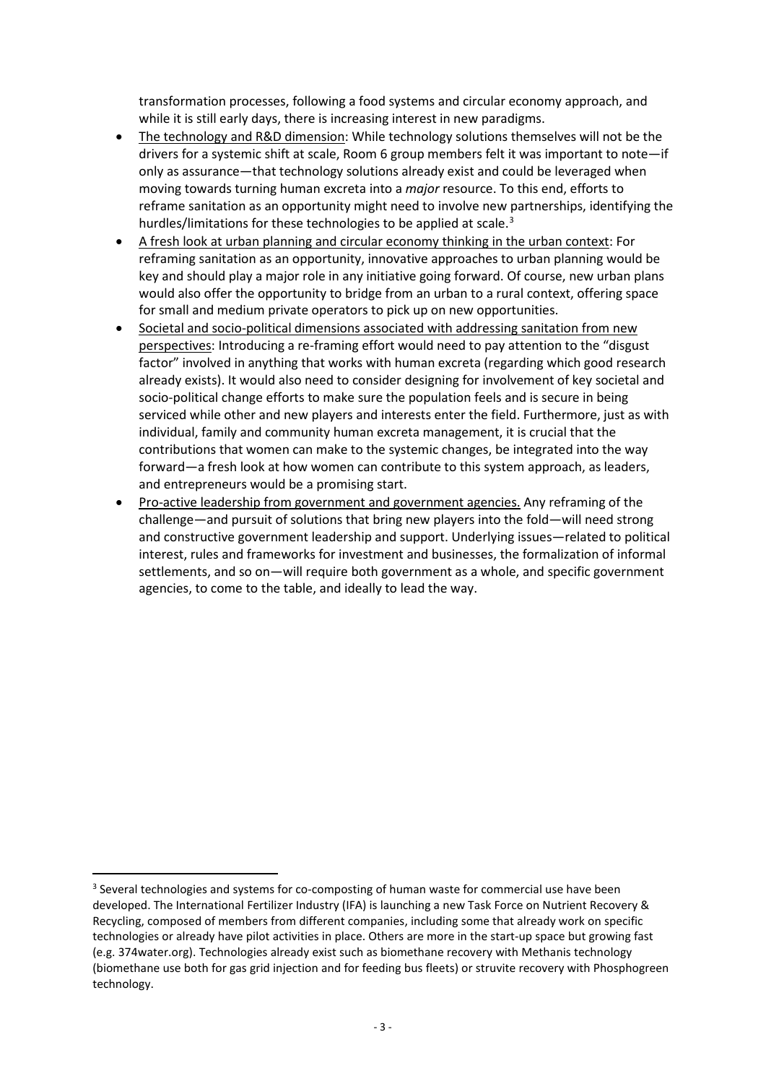transformation processes, following a food systems and circular economy approach, and while it is still early days, there is increasing interest in new paradigms.

- The technology and R&D dimension: While technology solutions themselves will not be the drivers for a systemic shift at scale, Room 6 group members felt it was important to note—if only as assurance—that technology solutions already exist and could be leveraged when moving towards turning human excreta into a *major* resource. To this end, efforts to reframe sanitation as an opportunity might need to involve new partnerships, identifying the hurdles/limitations for these technologies to be applied at scale.<sup>[3](#page-3-0)</sup>
- A fresh look at urban planning and circular economy thinking in the urban context: For reframing sanitation as an opportunity, innovative approaches to urban planning would be key and should play a major role in any initiative going forward. Of course, new urban plans would also offer the opportunity to bridge from an urban to a rural context, offering space for small and medium private operators to pick up on new opportunities.
- Societal and socio-political dimensions associated with addressing sanitation from new perspectives: Introducing a re-framing effort would need to pay attention to the "disgust factor" involved in anything that works with human excreta (regarding which good research already exists). It would also need to consider designing for involvement of key societal and socio-political change efforts to make sure the population feels and is secure in being serviced while other and new players and interests enter the field. Furthermore, just as with individual, family and community human excreta management, it is crucial that the contributions that women can make to the systemic changes, be integrated into the way forward—a fresh look at how women can contribute to this system approach, as leaders, and entrepreneurs would be a promising start.
- Pro-active leadership from government and government agencies. Any reframing of the challenge—and pursuit of solutions that bring new players into the fold—will need strong and constructive government leadership and support. Underlying issues—related to political interest, rules and frameworks for investment and businesses, the formalization of informal settlements, and so on—will require both government as a whole, and specific government agencies, to come to the table, and ideally to lead the way.

<span id="page-3-0"></span><sup>&</sup>lt;sup>3</sup> Several technologies and systems for co-composting of human waste for commercial use have been developed. The International Fertilizer Industry (IFA) is launching a new Task Force on Nutrient Recovery & Recycling, composed of members from different companies, including some that already work on specific technologies or already have pilot activities in place. Others are more in the start-up space but growing fast (e.g. 374water.org). Technologies already exist such as biomethane recovery with Methanis technology (biomethane use both for gas grid injection and for feeding bus fleets) or struvite recovery with Phosphogreen technology.